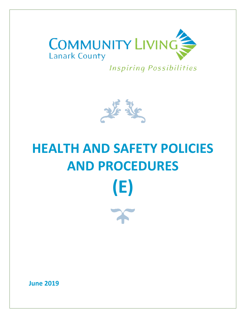

**Inspiring Possibilities** 



# **HEALTH AND SAFETY POLICIES AND PROCEDURES (E)**

**June 2019**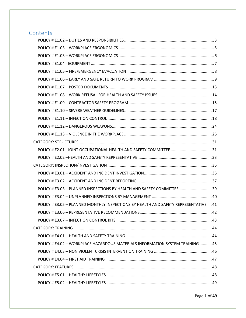# **Contents**

| POLICY # E3.03 - PLANNED INSPECTIONS BY HEALTH AND SAFETY COMMITTEE  39              |  |
|--------------------------------------------------------------------------------------|--|
|                                                                                      |  |
| POLICY # E3.05 - PLANNED MONTHLY INSPECTIONS BY HEALTH AND SAFETY REPRESENTATIVE  41 |  |
|                                                                                      |  |
|                                                                                      |  |
|                                                                                      |  |
|                                                                                      |  |
| POLICY # E4.02 - WORKPLACE HAZARDOUS MATERIALS INFORMATION SYSTEM TRAINING 45        |  |
|                                                                                      |  |
|                                                                                      |  |
|                                                                                      |  |
|                                                                                      |  |
|                                                                                      |  |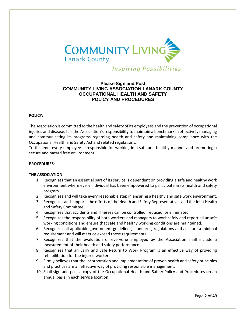

**Inspiring Possibilities** 

# **Please Sign and Post COMMUNITY LIVING ASSOCIATION LANARK COUNTY OCCUPATIONAL HEALTH AND SAFETY POLICY AND PROCEDURES**

#### **POLICY:**

The Association is committed to the health and safety of its employees and the prevention of occupational injuries and disease. It is the Association's responsibility to maintain a benchmark in effectively managing and communicating its programs regarding health and safety and maintaining compliance with the Occupational Health and Safety Act and related regulations.

To this end, every employee is responsible for working in a safe and healthy manner and promoting a secure and hazard free environment.

#### **PROCEDURES**:

#### **THE ASSOCIATION**

- 1. Recognizes that an essential part of its service is dependent on providing a safe and healthy work environment where every individual has been empowered to participate in its health and safety program.
- 2. Recognizes and will take every reasonable step in ensuring a healthy and safe work environment.
- 3. Recognizes and supports the efforts of the Health and Safety Representatives and the Joint Health and Safety Committee.
- 4. Recognizes that accidents and illnesses can be controlled, reduced, or eliminated.
- 5. Recognizes the responsibility of both workers and managers to work safely and report all unsafe working conditions and ensure that safe and healthy working conditions are maintained.
- 6. Recognizes all applicable government guidelines, standards, regulations and acts are a minimal requirement and will meet or exceed these requirements.
- 7. Recognizes that the evaluation of everyone employed by the Association shall include a measurement of their health and safety performance.
- 8. Recognizes that an Early and Safe Return to Work Program is an effective way of providing rehabilitation for the injured worker.
- 9. Firmly believes that the incorporation and implementation of proven health and safety principles and practices are an effective way of providing responsible management.
- 10. Shall sign and post a copy of the Occupational Health and Safety Policy and Procedures on an annual basis in each service location.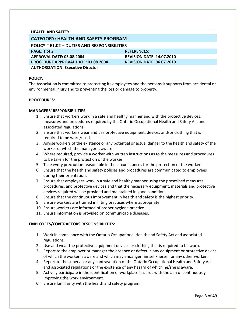#### **HEALTH AND SAFETY**

# **CATEGORY: HEALTH AND SAFETY PROGRAM**

<span id="page-3-0"></span>**POLICY # E1.02 – DUTIES AND RESPONSIBILITIES**

**PAGE:** 1 of 2 **REFERENCES: REFERENCES: APPROVAL DATE: 03.08.2004 REVISION DATE: 14.07.2010 PROCEDURE APPROVAL DATE: 03.08.2004 REVISION DATE: 06.07.2010 AUTHORIZATION: Executive Director**

#### **POLICY:**

The Association is committed to protecting its employees and the persons it supports from accidental or environmental injury and to preventing the loss or damage to property.

#### **PROCEDURES:**

#### **MANAGERS' RESPONSIBILITIES:**

- 1. Ensure that workers work in a safe and healthy manner and with the protective devices, measures and procedures required by the Ontario Occupational Health and Safety Act and associated regulations.
- 2. Ensure that workers wear and use protective equipment, devices and/or clothing that is required to be worn/used.
- 3. Advise workers of the existence or any potential or actual danger to the health and safety of the worker of which the manager is aware.
- 4. Where required, provide a worker with written instructions as to the measures and procedures to be taken for the protection of the worker.
- 5. Take every precaution reasonable in the circumstances for the protection of the worker.
- 6. Ensure that the health and safety policies and procedures are communicated to employees during their orientation.
- 7. Ensure that employees work in a safe and healthy manner using the prescribed measures, procedures, and protective devices and that the necessary equipment, materials and protective devices required will be provided and maintained in good condition.
- 8. Ensure that the continuous improvement in health and safety is the highest priority.
- 9. Ensure workers are trained in lifting practices where appropriate.
- 10. Ensure workers are informed of proper hygiene practice.
- 11. Ensure information is provided on communicable diseases.

#### **EMPLOYEES/CONTRACTORS RESPONSIBILITIES:**

- 1. Work in compliance with the Ontario Occupational Health and Safety Act and associated regulations.
- 2. Use and wear the protective equipment devices or clothing that is required to be worn.
- 3. Report to the employer or manager the absence or defect in any equipment or protective device of which the worker is aware and which may endanger himself/herself or any other worker.
- 4. Report to the supervisor any contravention of the Ontario Occupational Health and Safety Act and associated regulations or the existence of any hazard of which he/she is aware.
- 5. Actively participate in the identification of workplace hazards with the aim of continuously improving the work environment.
- 6. Ensure familiarity with the health and safety program.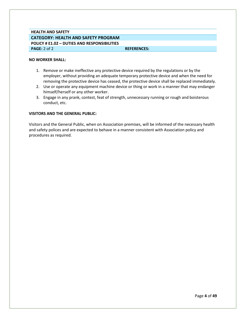# **HEALTH AND SAFETY CATEGORY: HEALTH AND SAFETY PROGRAM POLICY # E1.02 – DUTIES AND RESPONSIBILITIES PAGE:** 2 of 2 **REFERENCES: REFERENCES:**

#### **NO WORKER SHALL:**

- 1. Remove or make ineffective any protective device required by the regulations or by the employer, without providing an adequate temporary protective device and when the need for removing the protective device has ceased, the protective device shall be replaced immediately.
- 2. Use or operate any equipment machine device or thing or work in a manner that may endanger himself/herself or any other worker.
- 3. Engage in any prank, contest, feat of strength, unnecessary running or rough and boisterous conduct, etc.

#### **VISITORS AND THE GENERAL PUBLIC:**

Visitors and the General Public, when on Association premises, will be informed of the necessary health and safety polices and are expected to behave in a manner consistent with Association policy and procedures as required.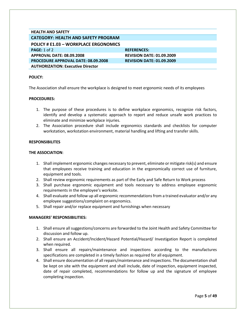<span id="page-5-0"></span>

| <b>HEALTH AND SAFETY</b>                     |                                  |
|----------------------------------------------|----------------------------------|
| <b>CATEGORY: HEALTH AND SAFETY PROGRAM</b>   |                                  |
| <b>POLICY # E1.03 - WORKPLACE ERGONOMICS</b> |                                  |
| PAGE: 1 of 2                                 | <b>REFERENCES:</b>               |
| APPROVAL DATE: 08.09.2008                    | <b>REVISION DATE: 01.09.2009</b> |
| <b>PROCEDURE APPROVAL DATE: 08.09.2008</b>   | <b>REVISION DATE: 01.09.2009</b> |
| <b>AUTHORIZATION: Executive Director</b>     |                                  |

The Association shall ensure the workplace is designed to meet ergonomic needs of its employees

#### **PROCEDURES:**

- 1. The purpose of these procedures is to define workplace ergonomics, recognize risk factors, identify and develop a systematic approach to report and reduce unsafe work practices to eliminate and minimize workplace injuries.
- 2. The Association procedure shall include ergonomics standards and checklists for computer workstation, workstation environment, material handling and lifting and transfer skills.

#### **RESPONSIBILITES**

#### **THE ASSOCIATION**:

- 1. Shall implement ergonomic changes necessary to prevent, eliminate or mitigate risk(s) and ensure that employees receive training and education in the ergonomically correct use of furniture, equipment and tools.
- 2. Shall review ergonomic requirements as part of the Early and Safe Return to Work process
- 3. Shall purchase ergonomic equipment and tools necessary to address employee ergonomic requirements in the employee's worksite.
- 4. Shall evaluate and follow up all ergonomic recommendations from a trained evaluator and/or any employee suggestions/complaint on ergonomics.
- 5. Shall repair and/or replace equipment and furnishings when necessary

#### **MANAGERS' RESPONSIBILITIES:**

- 1. Shall ensure all suggestions/concerns are forwarded to the Joint Health and Safety Committee for discussion and follow up.
- 2. Shall ensure an Accident/Incident/Hazard Potential/Hazard/ Investigation Report is completed when required.
- 3. Shall ensure all repairs/maintenance and inspections according to the manufactures specifications are completed in a timely fashion as required for all equipment.
- 4. Shall ensure documentation of all repairs/maintenance and inspections. The documentation shall be kept on site with the equipment and shall include, date of inspection, equipment inspected, date of repair completed, recommendations for follow up and the signature of employee completing inspection.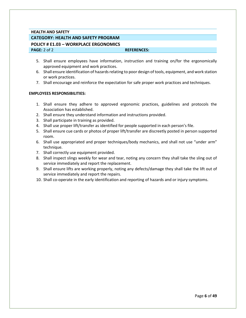# **HEALTH AND SAFETY CATEGORY: HEALTH AND SAFETY PROGRAM**

#### <span id="page-6-0"></span>**POLICY # E1.03 – WORKPLACE ERGONOMICS PAGE:** 2 of 2 **REFERENCES: REFERENCES:**

- 5. Shall ensure employees have information, instruction and training on/for the ergonomically approved equipment and work practices.
- 6. Shall ensure identification of hazards relating to poor design of tools, equipment, and work station or work practices.
- 7. Shall encourage and reinforce the expectation for safe proper work practices and techniques.

### **EMPLOYEES RESPONSIBILITIES:**

- 1. Shall ensure they adhere to approved ergonomic practices, guidelines and protocols the Association has established.
- 2. Shall ensure they understand information and instructions provided.
- 3. Shall participate in training as provided.
- 4. Shall use proper lift/transfer as identified for people supported in each person's file.
- 5. Shall ensure cue cards or photos of proper lift/transfer are discreetly posted in person supported room.
- 6. Shall use appropriated and proper techniques/body mechanics, and shall not use "under arm" technique.
- 7. Shall correctly use equipment provided.
- 8. Shall inspect slings weekly for wear and tear, noting any concern they shall take the sling out of service immediately and report the replacement.
- 9. Shall ensure lifts are working properly, noting any defects/damage they shall take the lift out of service immediately and report the repairs.
- 10. Shall co-operate in the early identification and reporting of hazards and or injury symptoms.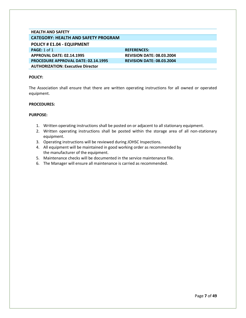## **HEALTH AND SAFETY CATEGORY: HEALTH AND SAFETY PROGRAM**

#### <span id="page-7-0"></span>**POLICY # E1.04 - EQUIPMENT**

**PAGE:** 1 of 1 **REFERENCES: REFERENCES: APPROVAL DATE: 02.14.1995 REVISION DATE: 08.03.2004 PROCEDURE APPROVAL DATE: 02.14.1995 REVISION DATE: 08.03.2004 AUTHORIZATION: Executive Director**

#### **POLICY:**

The Association shall ensure that there are written operating instructions for all owned or operated equipment.

#### **PROCEDURES:**

- 1. Written operating instructions shall be posted on or adjacent to all stationary equipment.
- 2. Written operating instructions shall be posted within the storage area of all non-stationary equipment.
- 3. Operating instructions will be reviewed during JOHSC Inspections.
- 4. All equipment will be maintained in good working order as recommended by the manufacturer of the equipment.
- 5. Maintenance checks will be documented in the service maintenance file.
- 6. The Manager will ensure all maintenance is carried as recommended.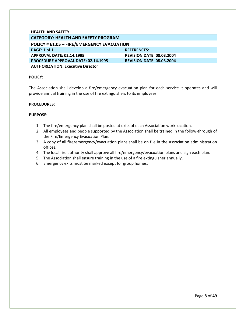<span id="page-8-0"></span>

| <b>HEALTH AND SAFETY</b>                          |                                  |  |
|---------------------------------------------------|----------------------------------|--|
| <b>CATEGORY: HEALTH AND SAFETY PROGRAM</b>        |                                  |  |
| <b>POLICY # E1.05 - FIRE/EMERGENCY EVACUATION</b> |                                  |  |
| PAGE: $1$ of $1$                                  | <b>REFERENCES:</b>               |  |
| APPROVAL DATE: 02.14.1995                         | <b>REVISION DATE: 08.03.2004</b> |  |
| <b>PROCEDURE APPROVAL DATE: 02.14.1995</b>        | <b>REVISION DATE: 08.03.2004</b> |  |
| <b>AUTHORIZATION: Executive Director</b>          |                                  |  |

The Association shall develop a fire/emergency evacuation plan for each service it operates and will provide annual training in the use of fire extinguishers to its employees.

#### **PROCEDURES:**

- 1. The fire/emergency plan shall be posted at exits of each Association work location.
- 2. All employees and people supported by the Association shall be trained in the follow-through of the Fire/Emergency Evacuation Plan.
- 3. A copy of all fire/emergency/evacuation plans shall be on file in the Association administration offices.
- 4. The local fire authority shall approve all fire/emergency/evacuation plans and sign each plan.
- 5. The Association shall ensure training in the use of a fire extinguisher annually.
- 6. Emergency exits must be marked except for group homes.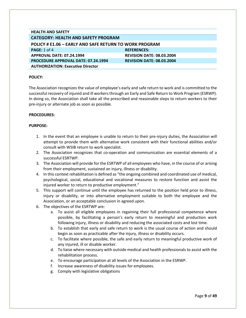<span id="page-9-0"></span>

| <b>HEALTH AND SAFETY</b>                                      |                                  |  |
|---------------------------------------------------------------|----------------------------------|--|
| <b>CATEGORY: HEALTH AND SAFETY PROGRAM</b>                    |                                  |  |
| <b>POLICY # E1.06 - EARLY AND SAFE RETURN TO WORK PROGRAM</b> |                                  |  |
| <b>PAGE:</b> 1 of 4                                           | <b>REFERENCES:</b>               |  |
| <b>APPROVAL DATE: 07.24.1994</b>                              | <b>REVISION DATE: 08.03.2004</b> |  |
| <b>PROCEDURE APPROVAL DATE: 07.24.1994</b>                    | <b>REVISION DATE: 08.03.2004</b> |  |
| <b>AUTHORIZATION: Executive Director</b>                      |                                  |  |

The Association recognizes the value of employee's early and safe return to work and is committed to the successful recovery of injured and ill workers through an Early and Safe Return to Work Program (ESRWP). In doing so, the Association shall take all the prescribed and reasonable steps to return workers to their pre-injury or alternate job as soon as possible.

#### **PROCEDURES:**

- 1. In the event that an employee is unable to return to their pre-injury duties, the Association will attempt to provide them with alternative work consistent with their functional abilities and/or consult with WSIB return to work specialist.
- 2. The Association recognizes that co-operation and communication are essential elements of a successful ESRTWP.
- 3. The Association will provide for the ESRTWP of all employees who have, in the course of or arising from their employment, sustained an injury, illness or disability.
- 4. In this context rehabilitation is defined as "the ongoing combined and coordinated use of medical, psychological, social, educational and vocational measures to restore function and assist the injured worker to return to productive employment."
- 5. This support will continue until the employee has returned to the position held prior to illness, injury or disability, or into alternative employment suitable to both the employee and the Association, or an acceptable conclusion in agreed upon.
- 6. The objectives of the ESRTWP are:
	- a. To assist all eligible employees in regaining their full professional competence where possible, by facilitating a person's early return to meaningful and production work following injury, illness or disability and reducing the associated costs and lost time.
	- b. To establish that early and safe return to work is the usual course of action and should begin as soon as practicable after the injury, illness or disability occurs.
	- c. To facilitate where possible, the safe and early return to meaningful productive work of any injured, ill or disable worker.
	- d. To liaise where necessary with outside medical and health professionals to assist with the rehabilitation process.
	- e. To encourage participation at all levels of the Association in the ESRWP.
	- f. Increase awareness of disability issues for employees.
	- g. Comply with legislative obligations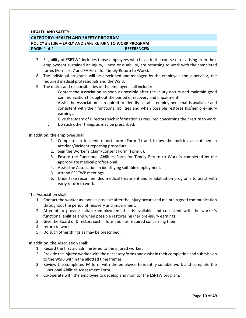### **HEALTH AND SAFETY**

#### **CATEGORY: HEALTH AND SAFETY PROGRAM**

**POLICY # E1.06 – EARLY AND SAFE RETURN TO WORK PROGRAM**

**PAGE:** 2 of 4 **REFERENCES: REFERENCES:** 

- 7. Eligibility of ESRTWP includes those employees who have, in the course of or arising from their employment sustained an injury, illness or disability, are returning to work with the completed forms (Forms 6, 7 and FA Form for Timely Return to Work).
- 8. The individual programs will be developed and managed by the employee, the supervisor, the required medical professionals and the WSIB.
- 9. The duties and responsibilities of the employer shall include:
	- i. Contact the Association as soon as possible after the injury occurs and maintain good communication throughout the period of recovery and impairment.
	- ii. Assist the Association as required to identify suitable employment that is available and consistent with their functional abilities and when possible restores his/her pre-injury earnings.
	- iii. Give the Board of Directors such information as required concerning their return to work.
	- iv. Do such other things as may be prescribed.

In addition, the employee shall:

- 1. Complete an incident report form (Form 7) and follow the policies as outlined in accident/incident reporting procedure.
- 2. Sign the Worker's Claim/Consent Form (Form 6).
- 3. Ensure the Functional Abilities Form for Timely Return to Work is completed by the appropriate medical professional.
- 4. Assist the Association in identifying suitable employment.
- 5. Attend ESRTWP meetings
- 6. Undertake recommended medical treatment and rehabilitation programs to assist with early return to work.

The Association shall:

- 1. Contact the worker as soon as possible after the injury occurs and maintain good communication throughout the period of recovery and impairment.
- 2. Attempt to provide suitable employment that is available and consistent with the worker's functional abilities and when possible restores his/her pre-injury earnings.
- 3. Give the Board of Directors such information as required concerning their
- 4. return to work.
- 5. Do such other things as may be prescribed.

In addition, the Association shall:

- 1. Record the first aid administered to the injured worker.
- 2. Provide the injured worker with the necessary forms and assist in their completion and submission to the WSIB within the allotted time frames.
- 3. Review the completed FA form with the employee to identify suitable work and complete the Functional Abilities Assessment Form
- 4. Co-operate with the employee to develop and monitor the ESRTW program.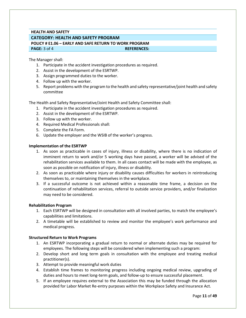# **HEALTH AND SAFETY CATEGORY: HEALTH AND SAFETY PROGRAM POLICY # E1.06 – EARLY AND SAFE RETURN TO WORK PROGRAM PAGE:** 3 of 4 **REFERENCES:**

The Manager shall:

- 1. Participate in the accident investigation procedures as required.
- 2. Assist in the development of the ESRTWP.
- 3. Assign programmed duties to the worker.
- 4. Follow up with the worker.
- 5. Report problems with the program to the health and safety representative/joint health and safety committee

The Health and Safety Representative/Joint Health and Safety Committee shall:

- 1. Participate in the accident investigation procedures as required.
- 2. Assist in the development of the ESRTWP.
- 3. Follow up with the worker.
- 4. Required Medical Professionals shall:
- 5. Complete the FA Form.
- 6. Update the employer and the WSIB of the worker's progress.

#### **Implementation of the ESRTWP**

- 1. As soon as practicable in cases of injury, illness or disability, where there is no indication of imminent return to work and/or 5 working days have passed, a worker will be advised of the rehabilitation services available to them. In all cases contact will be made with the employee, as soon as possible on notification of injury, illness or disability.
- 2. As soon as practicable where injury or disability causes difficulties for workers in reintroducing themselves to, or maintaining themselves in the workplace.
- 3. If a successful outcome is not achieved within a reasonable time frame, a decision on the continuation of rehabilitation services, referral to outside service providers, and/or finalization may need to be considered.

#### **Rehabilitation Program**

- 1. Each ESRTWP will be designed in consultation with all involved parties, to match the employee's capabilities and limitations.
- 2. A timetable will be established to review and monitor the employee's work performance and medical progress.

#### **Structured Return to Work Programs**

- 1. An ESRTWP incorporating a gradual return to normal or alternate duties may be required for employees. The following steps will be considered when implementing such a program:
- 2. Develop short and long term goals in consultation with the employee and treating medical practitioner(s).
- 3. Attempt to provide meaningful work duties
- 4. Establish time frames to monitoring progress including ongoing medical review, upgrading of duties and hours to meet long-term goals, and follow-up to ensure successful placement.
- 5. If an employee requires external to the Association this may be funded through the allocation provided for Labor Market Re-entry purposes within the Workplace Safety and Insurance Act.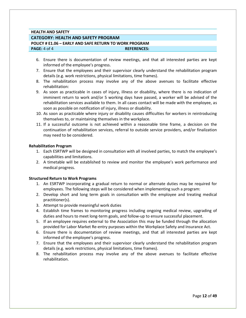#### **HEALTH AND SAFETY**

#### **CATEGORY: HEALTH AND SAFETY PROGRAM**

**POLICY # E1.06 – EARLY AND SAFE RETURN TO WORK PROGRAM**

**PAGE:** 4 of 4 **REFERENCES: REFERENCES:** 

- 6. Ensure there is documentation of review meetings, and that all interested parties are kept informed of the employee's progress.
- 7. Ensure that the employees and their supervisor clearly understand the rehabilitation program details (e.g. work restrictions, physical limitations, time frames).
- 8. The rehabilitation process may involve any of the above avenues to facilitate effective rehabilitation:
- 9. As soon as practicable in cases of injury, illness or disability, where there is no indication of imminent return to work and/or 5 working days have passed, a worker will be advised of the rehabilitation services available to them. In all cases contact will be made with the employee, as soon as possible on notification of injury, illness or disability.
- 10. As soon as practicable where injury or disability causes difficulties for workers in reintroducing themselves to, or maintaining themselves in the workplace.
- 11. If a successful outcome is not achieved within a reasonable time frame, a decision on the continuation of rehabilitation services, referral to outside service providers, and/or finalization may need to be considered.

#### **Rehabilitation Program**

- 1. Each ESRTWP will be designed in consultation with all involved parties, to match the employee's capabilities and limitations.
- 2. A timetable will be established to review and monitor the employee's work performance and medical progress.

#### **Structured Return to Work Programs**

- 1. An ESRTWP incorporating a gradual return to normal or alternate duties may be required for employees. The following steps will be considered when implementing such a program:
- 2. Develop short and long term goals in consultation with the employee and treating medical practitioner(s).
- 3. Attempt to provide meaningful work duties
- 4. Establish time frames to monitoring progress including ongoing medical review, upgrading of duties and hours to meet long-term goals, and follow-up to ensure successful placement.
- 5. If an employee requires external to the Association this may be funded through the allocation provided for Labor Market Re-entry purposes within the Workplace Safety and Insurance Act.
- 6. Ensure there is documentation of review meetings, and that all interested parties are kept informed of the employee's progress.
- 7. Ensure that the employees and their supervisor clearly understand the rehabilitation program details (e.g. work restrictions, physical limitations, time frames).
- 8. The rehabilitation process may involve any of the above avenues to facilitate effective rehabilitation.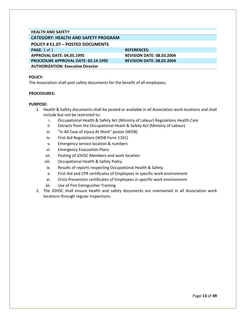#### **HEALTH AND SAFETY CATEGORY: HEALTH AND SAFETY PROGRAM**

# <span id="page-13-0"></span>**POLICY # E1.07 – POSTED DOCUMENTS**

**PAGE:** 1 of 1 **REFERENCES: REFERENCES: APPROVAL DATE: 04.05.1995 REVISION DATE: 08.03.2004 PROCEDURE APPROVAL DATE: 05.14.1995 REVISION DATE: 08.03.2004 AUTHORIZATION: Executive Director**

#### **POLICY:**

The Association shall post safety documents for the benefit of all employees.

#### **PROCEDURES:**

- 1. Health & Safety documents shall be posted or available in all Association work locations and shall include but not be restricted to:
	- i. Occupational Health & Safety Act (Ministry of Labour) Regulations Health Care
	- ii. Extracts from the Occupational Heath & Safety Act (Ministry of Labour)
	- iii. "In All Case of Injury At Work" poster (WSIB)
	- iv. First Aid Regulations (WSIB Form 1101)
	- v. Emergency service location & numbers
	- vi. Emergency Evacuation Plans
	- vii. Posting of JOHSC Members and work location
	- viii. Occupational Health & Safety Policy
	- ix. Results of reports respecting Occupational Health & Safety
	- x. First Aid and CPR certificates of Employees in specific work environment
	- xi. Crisis Prevention certificates of Employees in specific work environment
	- xii. Use of Fire Extinguisher Training
- 2. The JOHSC shall ensure health and safety documents are maintained in all Association work locations through regular inspections.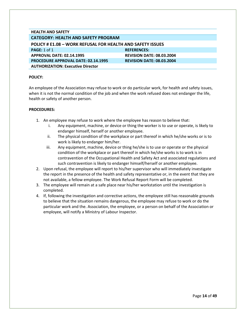<span id="page-14-0"></span>

| <b>HEALTH AND SAFETY</b>                                          |                                  |  |
|-------------------------------------------------------------------|----------------------------------|--|
| <b>CATEGORY: HEALTH AND SAFETY PROGRAM</b>                        |                                  |  |
| <b>POLICY # E1.08 - WORK REFUSAL FOR HEALTH AND SAFETY ISSUES</b> |                                  |  |
| <b>PAGE: 1 of 1</b>                                               | <b>REFERENCES:</b>               |  |
| APPROVAL DATE: 02.14.1995                                         | <b>REVISION DATE: 08.03.2004</b> |  |
| <b>PROCEDURE APPROVAL DATE: 02.14.1995</b>                        | <b>REVISION DATE: 08.03.2004</b> |  |
| <b>AUTHORIZATION: Executive Director</b>                          |                                  |  |

An employee of the Association may refuse to work or do particular work, for health and safety issues, when it is not the normal condition of the job and when the work refused does not endanger the life, health or safety of another person.

- 1. An employee may refuse to work where the employee has reason to believe that:
	- i. Any equipment, machine, or device or thing the worker is to use or operate, is likely to endanger himself, herself or another employee.
	- ii. The physical condition of the workplace or part thereof in which he/she works or is to work is likely to endanger him/her.
	- iii. Any equipment, machine, device or thing he/she is to use or operate or the physical condition of the workplace or part thereof in which he/she works is to work is in contravention of the Occupational Health and Safety Act and associated regulations and such contravention is likely to endanger himself/herself or another employee.
- 2. Upon refusal, the employee will report to his/her supervisor who will immediately investigate the report in the presence of the health and safety representative or, in the event that they are not available, a fellow employee. The Work Refusal Report Form will be completed.
- 3. The employee will remain at a safe place near his/her workstation until the investigation is completed.
- 4. If, following the investigation and corrective actions, the employee still has reasonable grounds to believe that the situation remains dangerous, the employee may refuse to work or do the particular work and the. Association, the employee, or a person on behalf of the Association or employee, will notify a Ministry of Labour Inspector.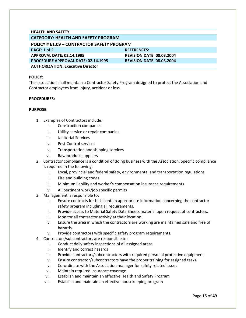# **HEALTH AND SAFETY CATEGORY: HEALTH AND SAFETY PROGRAM**

<span id="page-15-0"></span>

| POLICY # E1.09 - CONTRACTOR SAFETY PROGRAM |                                  |  |
|--------------------------------------------|----------------------------------|--|
| PAGE: 1 of 2                               | <b>REFERENCES:</b>               |  |
| APPROVAL DATE: 02.14.1995                  | <b>REVISION DATE: 08.03.2004</b> |  |
| <b>PROCEDURE APPROVAL DATE: 02.14.1995</b> | <b>REVISION DATE: 08.03.2004</b> |  |
| <b>AUTHORIZATION: Executive Director</b>   |                                  |  |

#### **POLICY:**

The association shall maintain a Contractor Safety Program designed to protect the Association and Contractor employees from injury, accident or loss.

#### **PROCEDURES:**

- 1. Examples of Contractors include:
	- i. Construction companies
	- ii. Utility service or repair companies
	- iii. Janitorial Services
	- iv. Pest Control services
	- v. Transportation and shipping services
	- vi. Raw product suppliers
- 2. Contractor compliance is a condition of doing business with the Association. Specific compliance is required in the following:
	- i. Local, provincial and federal safety, environmental and transportation regulations
	- ii. Fire and building codes
	- iii. Minimum liability and worker's compensation insurance requirements
	- iv. All pertinent work/job specific permits
- 3. Management is responsible to:
	- i. Ensure contracts for bids contain appropriate information concerning the contractor safety program including all requirements.
	- ii. Provide access to Material Safety Data Sheets material upon request of contractors.
	- iii. Monitor all contractor activity at their location.
	- iv. Ensure the area in which the contractors are working are maintained safe and free of hazards.
	- v. Provide contractors with specific safety program requirements.
- 4. Contractors/subcontractors are responsible to:
	- i. Conduct daily safety inspections of all assigned areas
	- ii. Identify and correct hazards
	- iii. Provide contractors/subcontractors with required personal protective equipment
	- iv. Ensure contractor/subcontractors have the proper training for assigned tasks
	- v. Co-ordinate with the Association manager for safety related issues
	- vi. Maintain required insurance coverage
	- vii. Establish and maintain an effective Health and Safety Program
	- viii. Establish and maintain an effective housekeeping program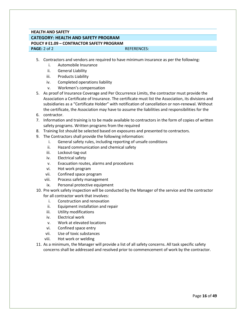# **HEALTH AND SAFETY CATEGORY: HEALTH AND SAFETY PROGRAM**

#### **POLICY # E1.09 – CONTRACTOR SAFETY PROGRAM PAGE:** 2 of 2 **REFERENCES:**

- 5. Contractors and vendors are required to have minimum insurance as per the following:
	- i. Automobile Insurance
	- ii. General Liability
	- iii. Products Liability
	- iv. Completed operations liability
	- v. Workmen's compensation
- 5. As proof of Insurance Coverage and Per Occurrence Limits, the contractor must provide the Association a Certificate of Insurance. The certificate must list the Association, its divisions and subsidiaries as a "Certificate Holder" with notification of cancellation or non-renewal. Without the certificate, the Association may have to assume the liabilities and responsibilities for the
- 6. contractor.
- 7. Information and training is to be made available to contractors in the form of copies of written safety programs. Written programs from the required
- 8. Training list should be selected based on exposures and presented to contractors.
- 9. The Contractors shall provide the following information:
	- i. General safety rules, including reporting of unsafe conditions
	- ii. Hazard communication and chemical safety
	- iii. Lockout-tag-out
	- iv. Electrical safety
	- v. Evacuation routes, alarms and procedures
	- vi. Hot work program
	- vii. Confined space program
	- viii. Process safety management
	- ix. Personal protective equipment
- 10. Pre work safety inspection will be conducted by the Manager of the service and the contractor for all contractor work that involves:
	- i. Construction and renovation
	- ii. Equipment installation and repair
	- iii. Utility modifications
	- iv. Electrical work
	- v. Work at elevated locations
	- vi. Confined space entry
	- vii. Use of toxic substances
	- viii. Hot work or welding
- 11. As a minimum, the Manager will provide a list of all safety concerns. All task specific safety concerns shall be addressed and resolved prior to commencement of work by the contractor.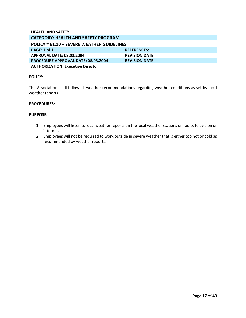<span id="page-17-0"></span>

| <b>HEALTH AND SAFETY</b>                          |                       |  |
|---------------------------------------------------|-----------------------|--|
| <b>CATEGORY: HEALTH AND SAFETY PROGRAM</b>        |                       |  |
| <b>POLICY # E1.10 – SEVERE WEATHER GUIDELINES</b> |                       |  |
| PAGE: 1 of 1                                      | <b>REFERENCES:</b>    |  |
| <b>APPROVAL DATE: 08.03.2004</b>                  | <b>REVISION DATE:</b> |  |
| <b>PROCEDURE APPROVAL DATE: 08.03.2004</b>        | <b>REVISION DATE:</b> |  |
| <b>AUTHORIZATION: Executive Director</b>          |                       |  |

The Association shall follow all weather recommendations regarding weather conditions as set by local weather reports.

#### **PROCEDURES:**

- 1. Employees will listen to local weather reports on the local weather stations on radio, television or internet.
- 2. Employees will not be required to work outside in severe weather that is either too hot or cold as recommended by weather reports.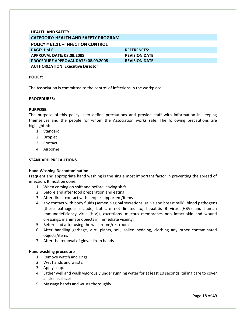<span id="page-18-0"></span>

| <b>HEALTH AND SAFETY</b>                   |                       |
|--------------------------------------------|-----------------------|
| <b>CATEGORY: HEALTH AND SAFETY PROGRAM</b> |                       |
| <b>POLICY # E1.11 - INFECTION CONTROL</b>  |                       |
| <b>PAGE: 1 of 6</b>                        | <b>REFERENCES:</b>    |
| APPROVAL DATE: 08.09.2008                  | <b>REVISION DATE:</b> |
| <b>PROCEDURE APPROVAL DATE: 08.09.2008</b> | <b>REVISION DATE:</b> |
| <b>AUTHORIZATION: Executive Director</b>   |                       |

The Association is committed to the control of infections in the workplace.

#### **PROCEDURES:**

#### **PURPOSE:**

The purpose of this policy is to define precautions and provide staff with information in keeping themselves and the people for whom the Association works safe. The following precautions are highlighted:

- 1. Standard
- 2. Droplet
- 3. Contact
- 4. Airborne

#### **STANDARD PRECAUTIONS**

#### **Hand Washing Decontamination**

Frequent and appropriate hand washing is the single most important factor in preventing the spread of infection. It must be done:

- 1. When coming on shift and before leaving shift
- 2. Before and after food preparation and eating
- 3. After direct contact with people supported /items
- 4. any contact with body fluids (semen, vaginal secretions, saliva and breast milk), blood pathogens (these pathogens include, but are not limited to, hepatitis B virus (HBV) and human immunodeficiency virus (HIV)), excretions, mucous membranes non intact skin and wound dressings, inanimate objects in immediate vicinity.
- 5. Before and after using the washroom/restroom
- 6. After handling garbage, dirt, plants, soil, soiled bedding, clothing any other contaminated objects/items
- 7. After the removal of gloves from hands

#### **Hand washing procedure**

- 1. Remove watch and rings.
- 2. Wet hands and wrists.
- 3. Apply soap.
- 4. Lather well and wash vigorously under running water for at least 10 seconds, taking care to cover all skin surfaces.
- 5. Massage hands and wrists thoroughly.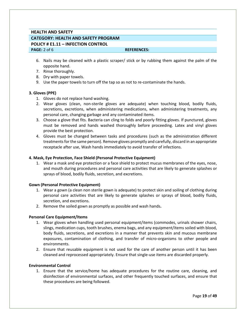# **HEALTH AND SAFETY CATEGORY: HEALTH AND SAFETY PROGRAM POLICY # E1.11 – INFECTION CONTROL PAGE:** 2 of 6 **REFERENCES: REFERENCES:**

- 6. Nails may be cleaned with a plastic scraper/ stick or by rubbing them against the palm of the opposite hand.
- 7. Rinse thoroughly.
- 8. Dry with paper towels.
- 9. Use the paper towels to turn off the tap so as not to re-contaminate the hands.

#### **3. Gloves (PPE)**

- 1. Gloves do not replace hand washing.
- 2. Wear gloves (clean, non-sterile gloves are adequate) when touching blood, bodily fluids, secretions, excretions, when administering medications, when administering treatments, any personal care, changing garbage and any contaminated items.
- 3. Choose a glove that fits. Bacteria can cling to folds and poorly fitting gloves. If punctured, gloves must be removed and hands washed thoroughly before proceeding. Latex and vinyl gloves provide the best protection.
- 4. Gloves must be changed between tasks and procedures (such as the administration different treatments for the same person). Remove gloves promptly and carefully, discard in an appropriate receptacle after use, Wash hands immediately to avoid transfer of infections.

#### **4. Mask, Eye Protection, Face Shield (Personal Protective Equipment)**

1. Wear a mask and eye protection or a face shield to protect mucus membranes of the eyes, nose, and mouth during procedures and personal care activities that are likely to generate splashes or sprays of blood, bodily fluids, secretion, and excretions.

#### **Gown (Personal Protective Equipment)**

- 1. Wear a gown (a clean non sterile gown is adequate) to protect skin and soiling of clothing during personal care activities that are likely to generate splashes or sprays of blood, bodily fluids, secretion, and excretions.
- 2. Remove the soiled gown as promptly as possible and wash hands**.**

#### **Personal Care Equipment/Items**

- 1. Wear gloves when handling used personal equipment/items (commodes, urinals shower chairs, slings, medication cups, tooth brushes, enema bags, and any equipment/items soiled with blood, body fluids, secretions, and excretions in a manner that prevents skin and mucous membrane exposures, contamination of clothing, and transfer of micro-organisms to other people and environments.
- 2. Ensure that reusable equipment is not used for the care of another person until it has been cleaned and reprocessed appropriately. Ensure that single-use items are discarded properly.

#### **Environmental Control**

1. Ensure that the service/home has adequate procedures for the routine care, cleaning, and disinfection of environmental surfaces, and other frequently touched surfaces, and ensure that these procedures are being followed.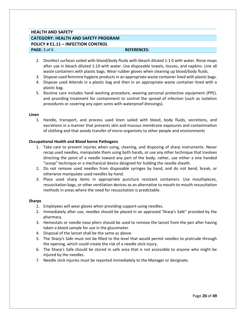# **HEALTH AND SAFETY CATEGORY: HEALTH AND SAFETY PROGRAM POLICY # E1.11 – INFECTION CONTROL PAGE:**  $3$  of 6 **REFERENCES: REFERENCES:**

- 2. Disinfect surfaces soiled with blood/body fluids with bleach diluted 1:1 0 with water. Rinse mops after use in bleach diluted 1:10 with water. Use disposable towels, tissues, and napkins. Line all waste containers with plastic bags. Wear rubber gloves when cleaning up blood/body fluids.
- 3. Dispose used feminine hygiene products in an appropriate waste container lined with plastic bags.
- 4. Dispose used Attends in a plastic bag and then in an appropriate waste container lined with a plastic bag.
- 5. Routine care includes hand washing procedure, wearing personal protective equipment (PPE), and providing treatment for containment to control the spread of infection (such as isolation procedures or covering any open sores with waterproof dressings).

#### **Linen**

1. Handle, transport, and process used linen soiled with blood, body fluids, secretions, and excretions in a manner that prevents skin and mucous membrane exposures and contamination of clothing and that avoids transfer of micro-organisms to other people and environments

#### **Occupational Health and Blood borne Pathogens**

- 1. Take care to prevent injuries when using, cleaning, and disposing of sharp instruments. Never recap used needles, manipulate them using both hands, or use any other technique that involves directing the point of a needle toward any part of the body; rather, use either a one handed "scoop" technique or a mechanical device designed for holding the needle sheath.
- 2. Do not remove used needles from disposable syringes by hand, and do not bend, break, or otherwise manipulate used needles by hand.
- 3. Place used sharp items in appropriate puncture resistant containers. Use mouthpieces, resuscitation bags, or other ventilation devices as an alternative to mouth-to mouth resuscitation methods in areas where the need for resuscitation is predictable.

#### **Sharps**

- 1. Employees will wear gloves when providing support-using needles.
- 2. Immediately after use, needles should be placed in an approved 'Sharp's Safe" provided by the pharmacy.
- 3. Hemostats or needle nose pliers should be used to remove the lancet from the pen after having taken a blood sample for use in the glucometer.
- 4. Disposal of the lancet shall be the same as above.
- 5. The Sharp's Safe must not be filled to the level that would permit needles to protrude through the opening, which could create the risk of a needle stick injury.
- 6. The Sharp's Safe should be stored in safe area that is not accessible to anyone who might be injured by the needles.
- 7. Needle stick injuries must be reported immediately to the Manager or designate.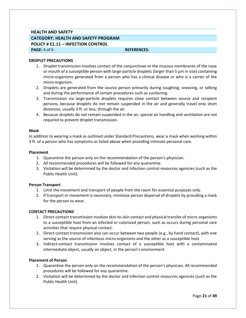# **HEALTH AND SAFETY CATEGORY: HEALTH AND SAFETY PROGRAM POLICY # E1.11 – INFECTION CONTROL**

#### **PAGE:** 4 of 6 **REFERENCES: REFERENCES:**

#### **DROPLET PRECAUTIONS**

- 1. Droplet transmission involves contact of the conjunctivae or the mucous membranes of the nose or mouth of a susceptible person with large-particle droplets (larger than 5 μm in size) containing micro-organisms generated from a person who has a clinical disease or who is a carrier of the micro-organism.
- 2. Droplets are generated from the source person primarily during coughing, sneezing, or talking and during the performance of certain procedures such as suctioning.
- 3. Transmission via large-particle droplets requires close contact between source and recipient persons, because droplets do not remain suspended in the air and generally travel only short distances, usually 3 ft. or less, through the air.
- 4. Because droplets do not remain suspended in the air, special air handling and ventilation are not required to prevent droplet transmission.

#### **Mask**

In addition to wearing a mask as outlined under Standard Precautions, wear a mask when working within 3 ft. of a person who has symptoms as listed above when providing intimate personal care.

#### **Placement**

- 1. Quarantine the person only on the recommendation of the person's physician.
- 2. All recommended procedures will be followed for any quarantine.
- 3. Visitation will be determined by the doctor and Infection control resources agencies (such as the Public Health Unit).

#### **Person Transport**

- 1. Limit the movement and transport of people from the room for essential purposes only.
- 2. If transport or movement is necessary, minimize person dispersal of droplets by providing a mask for the person to wear.

#### **CONTACT PRECAUTIONS**

- 1. Direct-contact transmission involves skin-to-skin contact and physical transfer of micro-organisms to a susceptible host from an infected or colonized person, such as occurs during personal care activities that require physical contact.
- 2. Direct-contact transmission also can occur between two people (e.g., by hand contact), with one serving as the source of infectious micro-organisms and the other as a susceptible host.
- 3. Indirect-contact transmission involves contact of a susceptible host with a contaminated intermediate object, usually an object, in the person's environment.

#### **Placement of Person**

- 1. Quarantine the person only on the recommendation of the person's physician. All recommended procedures will be followed for any quarantine.
- 2. Visitation will be determined by the doctor and Infection control resources agencies (such as the Public Health Unit).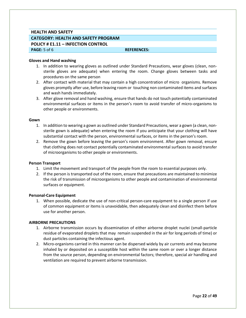#### **HEALTH AND SAFETY**

# **CATEGORY: HEALTH AND SAFETY PROGRAM POLICY # E1.11 – INFECTION CONTROL**

**PAGE:**  $5$  of 6 **REFERENCES: REFERENCES:** 

#### **Gloves and Hand washing**

- 1. In addition to wearing gloves as outlined under Standard Precautions, wear gloves (clean, nonsterile gloves are adequate) when entering the room. Change gloves between tasks and procedures on the same person
- 2. After contact with material that may contain a high concentration of micro organisms. Remove gloves promptly after use, before leaving room or touching non contaminated items and surfaces and wash hands immediately.
- 3. After glove removal and hand washing, ensure that hands do not touch potentially contaminated environmental surfaces or items in the person's room to avoid transfer of micro-organisms to other people or environments.

#### **Gown**

- 1. In addition to wearing a gown as outlined under Standard Precautions, wear a gown (a clean, nonsterile gown is adequate) when entering the room if you anticipate that your clothing will have substantial contact with the person, environmental surfaces, or items in the person's room.
- 2. Remove the gown before leaving the person's room environment. After gown removal, ensure that clothing does not contact potentially contaminated environmental surfaces to avoid transfer of microorganisms to other people or environments.

#### **Person Transport**

- 1. Limit the movement and transport of the people from the room to essential purposes only.
- 2. If the person is transported out of the room, ensure that precautions are maintained to minimize the risk of transmission of microorganisms to other people and contamination of environmental surfaces or equipment.

#### **Personal-Care Equipment**

1. When possible, dedicate the use of non-critical person-care equipment to a single person if use of common equipment or items is unavoidable, then adequately clean and disinfect them before use for another person.

#### **AIRBORNE PRECAUTIONS**

- 1. Airborne transmission occurs by dissemination of either airborne droplet nuclei (small-particle residue of evaporated droplets that may remain suspended in the air for long periods of time) or dust particles containing the infectious agent.
- 2. Micro-organisms carried in this manner can be dispersed widely by air currents and may become inhaled by or deposited on a susceptible host within the same room or over a longer distance from the source person, depending on environmental factors; therefore, special air handling and ventilation are required to prevent airborne transmission.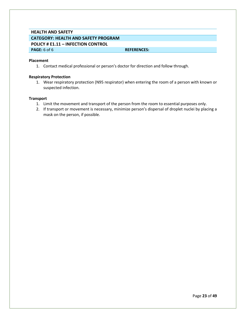# **HEALTH AND SAFETY CATEGORY: HEALTH AND SAFETY PROGRAM POLICY # E1.11 – INFECTION CONTROL PAGE:** 6 of 6 **REFERENCES: REFERENCES:**

#### **Placement**

1. Contact medical professional or person's doctor for direction and follow through.

#### **Respiratory Protection**

1. Wear respiratory protection (N95 respirator) when entering the room of a person with known or suspected infection.

#### **Transport**

- 1. Limit the movement and transport of the person from the room to essential purposes only.
- 2. If transport or movement is necessary, minimize person's dispersal of droplet nuclei by placing a mask on the person, if possible.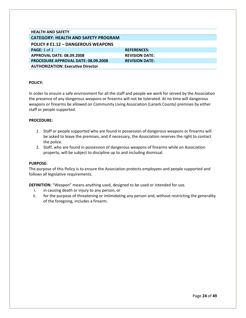<span id="page-24-0"></span>

| <b>HEALTH AND SAFETY</b>                   |                       |
|--------------------------------------------|-----------------------|
| <b>CATEGORY: HEALTH AND SAFETY PROGRAM</b> |                       |
| POLICY # E1.12 - DANGEROUS WEAPONS         |                       |
| PAGE: $1$ of $1$                           | <b>REFERENCES:</b>    |
| <b>APPROVAL DATE: 08.09.2008</b>           | <b>REVISION DATE:</b> |
| <b>PROCEDURE APPROVAL DATE: 08.09.2008</b> | <b>REVISION DATE:</b> |
| <b>AUTHORIZATION: Executive Director</b>   |                       |

In order to ensure a safe environment for all the staff and people we work for served by the Association the presence of any dangerous weapons or firearms will not be tolerated. At no time will dangerous weapons or firearms be allowed on Community Living Association (Lanark County) premises by either staff or people supported.

#### **PROCEDURE:**

- 1. Staff or people supported who are found in possession of dangerous weapons or firearms will be asked to leave the premises, and if necessary, the Association reserves the right to contact the police.
- 2. Staff, who are found in possession of dangerous weapons of firearms while on Association property, will be subject to discipline up to and including dismissal.

#### **PURPOSE:**

The purpose of this Policy is to ensure the Association protects employees and people supported and follows all legislative requirements.

**DEFINITION**: "Weapon" means anything used, designed to be used or intended for use.

- i. in causing death or injury to any person, or
- ii. for the purpose of threatening or intimidating any person and, without restricting the generality of the foregoing, includes a firearm.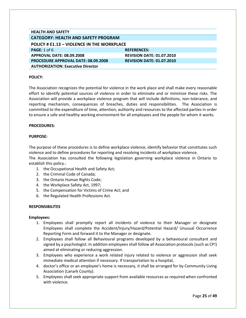<span id="page-25-0"></span>

| <b>HEALTH AND SAFETY</b>                   |                                  |  |
|--------------------------------------------|----------------------------------|--|
| <b>CATEGORY: HEALTH AND SAFETY PROGRAM</b> |                                  |  |
| POLICY # E1.13 - VIOLENCE IN THE WORKPLACE |                                  |  |
| <b>PAGE:</b> $1$ of 6                      | <b>REFERENCES:</b>               |  |
| <b>APPROVAL DATE: 08.09.2008</b>           | <b>REVISION DATE: 01.07.2010</b> |  |
| <b>PROCEDURE APPROVAL DATE: 08.09.2008</b> | <b>REVISION DATE: 01.07.2010</b> |  |
| <b>AUTHORIZATION: Executive Director</b>   |                                  |  |

The Association recognizes the potential for violence in the work place and shall make every reasonable effort to identify potential sources of violence in order to eliminate and or minimize these risks. The Association will provide a workplace violence program that will include definitions, non-tolerance, and reporting mechanism, consequences of breaches, duties and responsibilities. The Association is committed to the expenditure of time, attention, authority and resources to the affected parties in order to ensure a safe and healthy working environment for all employees and the people for whom it works.

#### **PROCEDURES:**

#### **PURPOSE:**

The purpose of these procedures is to define workplace violence, identify behavior that constitutes such violence and to define procedures for reporting and resolving incidents of workplace violence.

The Association has consulted the following legislation governing workplace violence in Ontario to establish this policy.:

- 1. the Occupational Health and Safety Act;
- 2. the Criminal Code of Canada;
- 3. the Ontario Human Rights Code;
- 4. the Workplace Safety Act, 1997;
- 5. the Compensation for Victims of Crime Act; and
- 6. the Regulated Health Professions Act.

#### **RESPONSIBILITES**

#### **Employees:**

- 1. Employees shall promptly report all incidents of violence to their Manager or designate Employees shall complete the Accident/Injury/Hazard/Potential Hazard/ Unusual Occurrence Reporting Form and forward it to the Manager or designate.
- 2. Employees shall follow all Behavioural programs developed by a behavioural consultant and signed by a psychologist. In addition employees shall follow all Association protocols (such as CP!) aimed at eliminating or reducing aggression.
- 3. Employees who experience a work related injury related to violence or aggression shall seek immediate medical attention if necessary. If transportation to a hospital,
- 4. doctor's office or an employee's home is necessary, it shall be arranged for by Community Living Association (Lanark County).
- 5. Employees shall seek appropriate support from available resources as required when confronted with violence.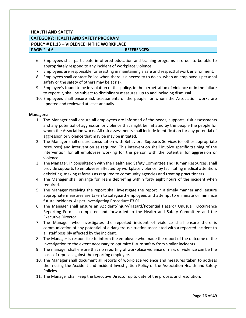# **HEALTH AND SAFETY CATEGORY: HEALTH AND SAFETY PROGRAM POLICY # E1.13 – VIOLENCE IN THE WORKPLACE PAGE:** 2 of 6 **REFERENCES: REFERENCES:**

- 6. Employees shall participate in offered education and training programs in order to be able to appropriately respond to any incident of workplace violence.
- 7. Employees are responsible for assisting in maintaining a safe and respectful work environment.
- 8. Employees shall contact Police when there is a necessity to do so, when an employee's personal safety or the safety of others may be at risk.
- 9. Employee's found to be in violation of this policy, in the perpetration of violence or in the failure to report it, shall be subject to disciplinary measures, up to and including dismissal.
- 10. Employees shall ensure risk assessments of the people for whom the Association works are updated and reviewed at least annually.

#### **Managers:**

- 1. The Manager shall ensure all employees are informed of the needs, supports, risk assessments and any potential of aggression or violence that might be initiated by the people the people for whom the Association works. All risk assessments shall include identification for any potential of aggression or violence that may be may be initiated.
- 2. The Manager shall ensure consultation with Behavioral Supports Services (or other appropriate resources) and intervention as required. This intervention shall involve specific training of the intervention for all employees working for the person with the potential for aggression or violence.
- 3. The Manager, in consultation with the Health and Safety Committee and Human Resources, shall provide supports to employees affected by workplace violence by facilitating medical attention, debriefing, making referrals as required to community agencies and treating practitioners.
- 4. The Manager shall arrange for Team debriefing within forty eight hours of the incident when required.
- 5. The Manager receiving the report shall investigate the report in a timely manner and ensure appropriate measures are taken to safeguard employees and attempt to eliminate or minimize future incidents. As per Investigating Procedure E3.01.
- 6. The Manager shall ensure an Accident/Injury/Hazard/Potential Hazard/ Unusual Occurrence Reporting Form is completed and forwarded to the Health and Safety Committee and the Executive Director.
- 7. The Manager who investigates the reported incident of violence shall ensure there is communication of any potential of a dangerous situation associated with a reported incident to all staff possibly affected by the incident.
- 8. The Manager is responsible to inform the employee who made the report of the outcome of the investigation to the extent necessary to optimize future safety from similar incidents.
- 9. The manager shall ensure that no reporting of workplace violence or risks of violence can be the basis of reprisal against the reporting employee.
- 10. The Manager shall document all reports of workplace violence and measures taken to address them using the Accident and Incident Investigation Policy of the Association Health and Safety Policies.
- 11. The Manager shall keep the Executive Director up to date of the process and resolution.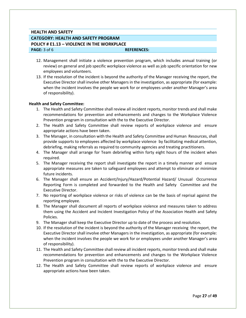# **HEALTH AND SAFETY CATEGORY: HEALTH AND SAFETY PROGRAM POLICY # E1.13 – VIOLENCE IN THE WORKPLACE PAGE:**  $3$  of 6 **REFERENCES: REFERENCES:**

- 12. Management shall initiate a violence prevention program, which includes annual training (or review) on general and job specific workplace violence as well as job specific orientation for new employees and volunteers.
- 13. If the resolution of the incident is beyond the authority of the Manager receiving the report, the Executive Director shall involve other Managers in the investigation, as appropriate (for example: when the incident involves the people we work for or employees under another Manager's area of responsibility).

#### **Health and Safety Committee:**

- 1. The Health and Safety Committee shall review all incident reports, monitor trends and shall make recommendations for prevention and enhancements and changes to the Workplace Violence Prevention program in consultation with the to the Executive Director.
- 2. The Health and Safety Committee shall review reports of workplace violence and ensure appropriate actions have been taken.
- 3. The Manager, in consultation with the Health and Safety Committee and Human Resources, shall provide supports to employees affected by workplace violence by facilitating medical attention, debriefing, making referrals as required to community agencies and treating practitioners.
- 4. The Manager shall arrange for Team debriefing within forty eight hours of the incident when required.
- 5. The Manager receiving the report shall investigate the report in a timely manner and ensure appropriate measures are taken to safeguard employees and attempt to eliminate or minimize future incidents.
- 6. The Manager shall ensure an Accident/Injury/Hazard/Potential Hazard/ Unusual Occurrence Reporting Form is completed and forwarded to the Health and Safety Committee and the Executive Director.
- 7. No reporting of workplace violence or risks of violence can be the basis of reprisal against the reporting employee.
- 8. The Manager shall document all reports of workplace violence and measures taken to address them using the Accident and Incident Investigation Policy of the Association Health and Safety Policies.
- 9. The Manager shall keep the Executive Director up to date of the process and resolution.
- 10. If the resolution of the incident is beyond the authority of the Manager receiving the report, the Executive Director shall involve other Managers in the investigation, as appropriate (for example: when the incident involves the people we work for or employees under another Manager's area of responsibility).
- 11. The Health and Safety Committee shall review all incident reports, monitor trends and shall make recommendations for prevention and enhancements and changes to the Workplace Violence Prevention program in consultation with the to the Executive Director.
- 12. The Health and Safety Committee shall review reports of workplace violence and ensure appropriate actions have been taken.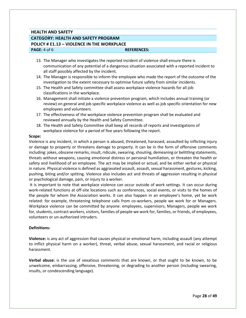# **HEALTH AND SAFETY CATEGORY: HEALTH AND SAFETY PROGRAM POLICY # E1.13 – VIOLENCE IN THE WORKPLACE PAGE:** 4 of 6 **REFERENCES: REFERENCES:**

- 13. The Manager who investigates the reported incident of violence shall ensure there is communication of any potential of a dangerous situation associated with a reported incident to all staff possibly affected by the incident.
- 14. The Manager is responsible to inform the employee who made the report of the outcome of the investigation to the extent necessary to optimise future safety from similar incidents.
- 15. The Health and Safety committee shall assess workplace violence hazards for all job classifications in the workplace.
- 16. Management shall initiate a violence prevention program, which includes annual training (or review) on general and job specific workplace violence as well as job specific orientation for new employees and volunteers.
- 17. The effectiveness of the workplace violence prevention program shall be evaluated and reviewed annually by the Health and Safety Committee.
- 18. The Health and Safety Committee shall keep all records of reports and investigations of workplace violence for a period of five years following the report.

#### **Scope:**

Violence is any incident, in which a person is abused, threatened, harassed, assaulted by inflicting injury or damage to property or threatens damage to property. It can be in the form of offensive comments including: jokes, obscene remarks, insult, ridicule, swearing, shouting, demeaning or belittling statements, threats without weapons, causing emotional distress or personal humiliation, or threaten the health or safety and livelihood of an employee. The act may be implied or actual, and be either verbal or physical in nature. Physical violence is defined as aggravated assault, assault, sexual harassment, gestures, kicking, pushing, biting and/or spitting. Violence also includes act and threats of aggression resulting in physical or psychological damage, pain, or injury to a worker.

It is important to note that workplace violence can occur outside of work settings. It can occur during work-related functions at off-site locations such as conferences, social events, or visits to the homes of the people for whom the Association works. It can also happen in an employee's home, yet be work related: for example, threatening telephone calls from co-workers, people we work for or Managers. Workplace violence can be committed by anyone: employees, supervisors, Managers, people we work for, students, contract workers, visitors, families of people we work for, families, or friends, of employees, volunteers or un-authorized intruders.

#### **Definitions:**

**Violence:** is any act of aggression that causes physical or emotional harm, including assault (any attempt to inflict physical harm on a worker), threat, verbal abuse, sexual harassment, and racial or religious harassment.

**Verbal abuse:** is the use of vexatious comments that are known, or that ought to be known, to be unwelcome, embarrassing, offensive, threatening, or degrading to another person (including swearing, insults, or condescending language).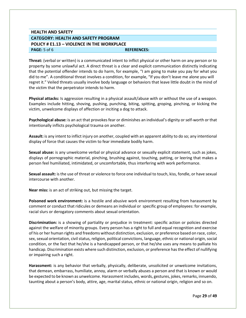# **HEALTH AND SAFETY CATEGORY: HEALTH AND SAFETY PROGRAM POLICY # E1.13 – VIOLENCE IN THE WORKPLACE PAGE:**  $5$  of 6 **REFERENCES: REFERENCES:**

**Threat:** (verbal or written) is a communicated intent to inflict physical or other harm on any person or to property by some unlawful act. A direct threat is a clear and explicit communication distinctly indicating that the potential offender intends to do harm, for example, "I am going to make you pay for what you did to me". A conditional threat involves a condition, for example, "If you don't leave me alone you will regret it." Veiled threats usually involve body language or behaviors that leave little doubt in the mind of the victim that the perpetrator intends to harm.

**Physical attacks:** Is aggression resulting in a physical assault/abuse with or without the use of a weapon. Examples include hitting, shoving, pushing, punching, biting, spitting, groping, pinching, or kicking the victim, unwelcome displays of affection or inciting a dog to attack.

**Psychological abuse:** is an act that provokes fear or diminishes an individual's dignity or self-worth or that intentionally inflicts psychological trauma on another.

**Assault:** is any intent to inflict injury on another, coupled with an apparent ability to do so; any intentional display of force that causes the victim to fear immediate bodily harm.

**Sexual abuse:** is any unwelcome verbal or physical advance or sexually explicit statement, such as jokes, displays of pornographic material, pinching, brushing against, touching, patting, or leering that makes a person feel humiliated, intimidated, or uncomfortable, thus interfering with work performance.

**Sexual assault:** is the use of threat or violence to force one individual to touch, kiss, fondle, or have sexual intercourse with another.

**Near miss:** is an act of striking out, but missing the target.

**Poisoned work environment:** is a hostile and abusive work environment resulting from harassment by comment or conduct that ridicules or demeans an individual or specific group of employees: for example, racial slurs or derogatory comments about sexual orientation.

**Discrimination:** is a showing of partiality or prejudice in treatment: specific action or policies directed against the welfare of minority groups. Every person has a right to full and equal recognition and exercise of his or her human rights and freedoms without distinction, exclusion, or preference based on race, color, sex, sexual orientation, civil status, religion, political convictions, language, ethnic or national origin, social condition, or the fact that he/she is a handicapped person, or that he/she uses any means to palliate his handicap. Discrimination exists where such distinction, exclusion, or preference has the effect of nullifying or impairing such a right.

**Harassment:** is any behavior that verbally, physically, deliberate, unsolicited or unwelcome invitations, that demean, embarrass, humiliate, annoy, alarm or verbally abuses a person and that is known or would be expected to be known as unwelcome. Harassment includes, words, gestures, jokes, remarks, innuendo, taunting about a person's body, attire, age, marital status, ethnic or national origin, religion and so on.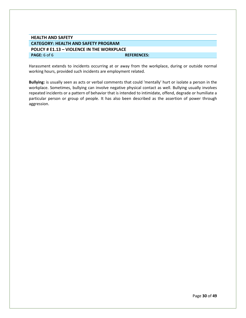| <b>HEALTH AND SAFETY</b>                          |                    |
|---------------------------------------------------|--------------------|
| <b>CATEGORY: HEALTH AND SAFETY PROGRAM</b>        |                    |
|                                                   |                    |
| <b>POLICY # E1.13 - VIOLENCE IN THE WORKPLACE</b> |                    |
| <b>PAGE:</b> 6 of 6                               | <b>REFERENCES:</b> |
|                                                   |                    |

Harassment extends to incidents occurring at or away from the workplace, during or outside normal working hours, provided such incidents are employment related.

**Bullying:** is usually seen as acts or verbal comments that could 'mentally' hurt or isolate a person in the workplace. Sometimes, bullying can involve negative physical contact as well. Bullying usually involves repeated incidents or a pattern of behavior that is intended to intimidate, offend, degrade or humiliate a particular person or group of people. It has also been described as the assertion of power through aggression.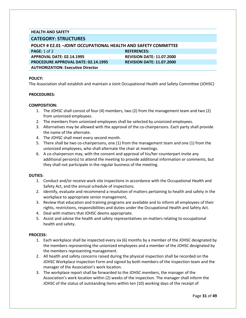### **HEALTH AND SAFETY**

#### <span id="page-31-0"></span>**CATEGORY: STRUCTURES**

<span id="page-31-1"></span>

| <b>POLICY # E2.01 -JOINT OCCUPATIONAL HEALTH AND SAFETY COMMITTEE</b> |
|-----------------------------------------------------------------------|
| <b>REFERENCES:</b>                                                    |
| <b>REVISION DATE: 11.07.2000</b>                                      |
| <b>REVISION DATE: 11.07.2000</b>                                      |
|                                                                       |
|                                                                       |

#### **POLICY:**

The Association shall establish and maintain a Joint Occupational Health and Safety Committee (JOHSC)

#### **PROCEDURES:**

#### **COMPOSITION:**

- 1. The JOHSC shall consist of four (4) members, two (2) from the management team and two (2) from unionized employees.
- 2. The members from unionized employees shall be selected by unionized employees.
- 3. Alternatives may be allowed with the approval of the co-chairpersons. Each party shall provide the name of the alternate.
- 4. The JOHSC shall meet every second month.
- 5. There shall be two co-chairpersons, one (1) from the management team and one (1) from the unionized employees, who shall alternate the chair at meetings.
- 6. A co-chairperson may, with the consent and approval of his/her counterpart invite any additional person(s) to attend the meeting to provide additional information or comments, but they shall not participate in the regular business of the meeting.

#### **DUTIES:**

- 1. Conduct and/or receive work site inspections in accordance with the Occupational Health and Safety Act, and the annual schedule of inspections.
- 2. Identify, evaluate and recommend a resolution of matters pertaining to health and safety in the workplace to appropriate senior management,
- 3. Review that education and training programs are available and to inform all employees of their rights, restrictions, responsibilities and duties under the Occupational Health and Safety Act.
- 4. Deal with matters that JOHSC deems appropriate.
- 5. Assist and advise the health and safety representatives on matters relating to occupational health and safety.

#### **PROCESS:**

- 1. Each workplace shall be inspected every six (6) months by a member of the JOHSC designated by the members representing the unionized employees and a member of the JOHSC designated by the members representing management.
- 2. All health and safety concerns raised during the physical inspection shall be recorded on the JOHSC Workplace Inspection Form and signed by both members of the inspection team and the manager of the Association's work location.
- 3. The workplace report shall be forwarded to the JOHSC members, the manager of the Association's work location within (2) weeks of the inspection. The manager shall inform the JOHSC of the status of outstanding items within ten (10) working days of the receipt of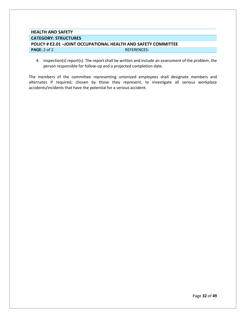# **HEALTH AND SAFETY CATEGORY: STRUCTURES POLICY # E2.01 –JOINT OCCUPATIONAL HEALTH AND SAFETY COMMITTEE PAGE:** 2 of 2 **REFERENCES:**

4. inspection(s) report(s). The report shall be written and include an assessment of the problem, the person responsible for follow-up and a projected completion date.

The members of the committee representing unionized employees shall designate members and alternates if required, chosen by those they represent, to investigate all serious workplace accidents/incidents that have the potential for a serious accident.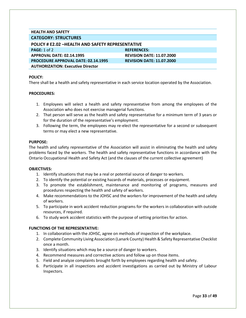#### **HEALTH AND SAFETY CATEGORY: STRUCTURES**

<span id="page-33-0"></span>

| <b>POLICY # E2.02 -HEALTH AND SAFETY REPRESENTATIVE</b> |                                  |  |
|---------------------------------------------------------|----------------------------------|--|
| PAGE: 1 of 2                                            | <b>REFERENCES:</b>               |  |
| APPROVAL DATE: 02.14.1995                               | <b>REVISION DATE: 11.07.2000</b> |  |
| <b>PROCEDURE APPROVAL DATE: 02.14.1995</b>              | <b>REVISION DATE: 11.07.2000</b> |  |
| <b>AUTHORIZATION: Executive Director</b>                |                                  |  |

#### **POLICY:**

There shall be a health and safety representative in each service location operated by the Association.

#### **PROCEDURES:**

- 1. Employees will select a health and safety representative from among the employees of the Association who does not exercise managerial functions.
- 2. That person will serve as the health and safety representative for a minimum term of 3 years or for the duration of the representative's employment.
- 3. Following the term, the employees may re-elect the representative for a second or subsequent terms or may elect a new representative.

#### **PURPOSE:**

The health and safety representative of the Association will assist in eliminating the health and safety problems faced by the workers. The health and safety representative functions in accordance with the Ontario Occupational Health and Safety Act (and the clauses of the current collective agreement)

#### **OBJECTIVES:**

- 1. Identify situations that may be a real or potential source of danger to workers.
- 2. To identify the potential or existing hazards of materials, processes or equipment.
- 3. To promote the establishment, maintenance and monitoring of programs, measures and procedures respecting the health and safety of workers.
- 4. Make recommendations to the JOHSC and the workers for improvement of the health and safety of workers.
- 5. To participate in work accident reduction programs for the workers in collaboration with outside resources, if required.
- 6. To study work accident statistics with the purpose of setting priorities for action.

#### **FUNCTIONS OF THE REPRESENTATIVE:**

- 1. In collaboration with the JOHSC, agree on methods of inspection of the workplace.
- 2. Complete Community Living Association (Lanark County) Health & Safety Representative Checklist once a month.
- 3. Identify situations which may be a source of danger to workers.
- 4. Recommend measures and corrective actions and follow up on those items.
- 5. Field and analyze complaints brought forth by employees regarding health and safety.
- 6. Participate in all inspections and accident investigations as carried out by Ministry of Labour Inspectors.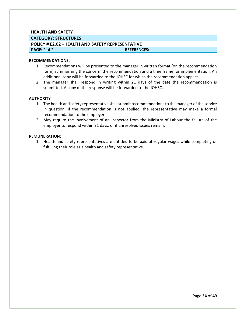#### **HEALTH AND SAFETY**

**CATEGORY: STRUCTURES**

#### **POLICY # E2.02 –HEALTH AND SAFETY REPRESENTATIVE**

**PAGE:** 2 of 2 **REFERENCES: REFERENCES:** 

#### **RECOMMENDATIONS:**

- 1. Recommendations will be presented to the manager in written format (on the recommendation form) summarizing the concern, the recommendation and a time frame for implementation. An additional copy will be forwarded to the JOHSC for which the recommendation applies.
- 2. The manager shall respond in writing within 21 days of the date the recommendation is submitted. A copy of the response will be forwarded to the JOHSC.

#### **AUTHORITY**

- 1. The health and safety representative shall submit recommendations to the manager of the service in question. If the recommendation is not applied, the representative may make a formal recommendation to the employer.
- 2. May require the involvement of an Inspector from the Ministry of Labour the failure of the employer to respond within 21 days, or if unresolved issues remain.

#### **REMUNERATION:**

1. Health and safety representatives are entitled to be paid at regular wages while completing or fulfilling their role as a health and safety representative.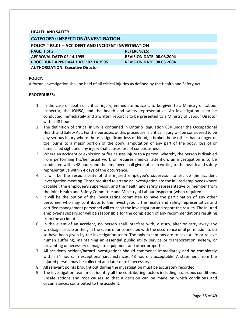<span id="page-35-1"></span><span id="page-35-0"></span>

| <b>HEALTH AND SAFETY</b>                             |                                  |  |
|------------------------------------------------------|----------------------------------|--|
| <b>CATEGORY: INSPECTION/INVESTIGATION</b>            |                                  |  |
| POLICY # E3.01 - ACCIDENT AND INCIDENT INVESTIGATION |                                  |  |
| PAGE: 1 of 2                                         | <b>REFERENCES:</b>               |  |
| <b>APPROVAL DATE: 02.14.1995</b>                     | <b>REVISION DATE: 08.03.2004</b> |  |
| <b>PROCEDURE APPROVAL DATE: 02.14.1995</b>           | <b>REVISION DATE: 08.03.2004</b> |  |
| <b>AUTHORIZATION: Executive Director</b>             |                                  |  |

A formal investigation shall be held of all critical injuries as defined by the Health and Safety Act.

- 1. In the case of death or critical injury, immediate notice is to be given to a Ministry of Labour Inspector, the JOHSC, and the health and safety representative. An investigation is to be conducted immediately and a written report is to be presented to a Ministry of Labour Director within 48 hours.
- 2. The definition of critical injury is contained in Ontario Regulation 834 under the Occupational Health and Safety Act. For the purposes of this procedure, a critical injury will be considered to be any serious injury where there is significant loss of blood, a broken bone other than a finger or toe, burns to a major portion of the body, amputation of any part of the body, loss of or diminished sight and any injury that causes loss of consciousness.
- 3. Where an accident or explosion or fire causes injury to a person, whereby the person is disabled from performing his/her usual work or requires medical attention, an investigation is to be conducted within 48 hours and the employer shall give notice in writing to the health and safety representative within 4 days of the occurrence.
- 4. It will be the responsibility of the injured employee's supervisor to set up the accident investigation meeting. Those required to attend an investigation are the injured employee (where capable), the employee's supervisor, and the health and safety representative or member from the Joint Health and Safety Committee and Ministry of Labour Inspector (when required).
- 5. It will be the option of the investigating committee to have the participation of any other personnel who may contribute to the investigation. The health and safety representative and certified management personnel will co-chair the investigation and report the results. The injured employee's supervisor will be responsible for the completion of any recommendations resulting from the accident.
- 6. In the event of an accident, no person shall interfere with, disturb, alter or carry away any wreckage, article or thing at the scene of or connected with the occurrence until permission to do so have been given by the investigation team. The only exceptions are to save a life or relieve human suffering, maintaining an essential public utility service or transportation system, or preventing unnecessary damage to equipment and other properties.
- 7. All accident/incident/hazard investigations should commence immediately and be completely within 24 hours. In exceptional circumstances, 48 hours is acceptable. A statement from the injured person may be collected at a later date if necessary.
- 8. All relevant points brought out during the investigation must be accurately recorded.
- 9. The investigation team must identify all the contributing factors including hazardous conditions, unsafe actions and root causes so that a decision can be made on which conditions and circumstances contributed to the accident.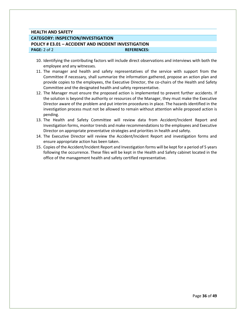# **HEALTH AND SAFETY CATEGORY: INSPECTION/INVESTIGATION POLICY # E3.01 – ACCIDENT AND INCIDENT INVESTIGATION PAGE:** 2 of 2 **REFERENCES: REFERENCES:**

- 10. Identifying the contributing factors will include direct observations and interviews with both the employee and any witnesses.
- 11. The manager and health and safety representatives of the service with support from the Committee if necessary, shall summarize the information gathered, propose an action plan and provide copies to the employees, the Executive Director, the co-chairs of the Health and Safety Committee and the designated health and safety representative.
- 12. The Manager must ensure the proposed action is implemented to prevent further accidents. If the solution is beyond the authority or resources of the Manager, they must make the Executive Director aware of the problem and put interim procedures in place. The hazards identified in the investigation process must not be allowed to remain without attention while proposed action is pending.
- 13. The Health and Safety Committee will review data from Accident/Incident Report and Investigation forms, monitor trends and make recommendations to the employees and Executive Director on appropriate preventative strategies and priorities in health and safety.
- 14. The Executive Director will review the Accident/Incident Report and investigation forms and ensure appropriate action has been taken.
- 15. Copies of the Accident/Incident Report and Investigation forms will be kept for a period of 5 years following the occurrence. These files will be kept in the Health and Safety cabinet located in the office of the management health and safety certified representative.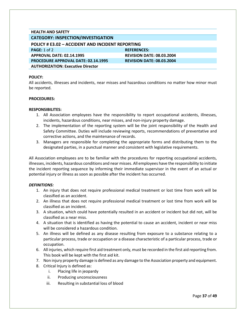<span id="page-37-0"></span>

| <b>HEALTH AND SAFETY</b>                         |                                  |
|--------------------------------------------------|----------------------------------|
| <b>CATEGORY: INSPECTION/INVESTIGATION</b>        |                                  |
| POLICY # E3.02 - ACCIDENT AND INCIDENT REPORTING |                                  |
| PAGE: 1 of 2                                     | <b>REFERENCES:</b>               |
| <b>APPROVAL DATE: 02.14.1995</b>                 | <b>REVISION DATE: 08.03.2004</b> |
| <b>PROCEDURE APPROVAL DATE: 02.14.1995</b>       | <b>REVISION DATE: 08.03.2004</b> |
| <b>AUTHORIZATION: Executive Director</b>         |                                  |

All accidents, illnesses and incidents, near misses and hazardous conditions no matter how minor must be reported.

#### **PROCEDURES:**

#### **RESPONSIBILITES:**

- 1. All Association employees have the responsibility to report occupational accidents, illnesses, incidents, hazardous conditions, near misses, and non-injury property damage.
- 2. The implementation of the reporting system will be the joint responsibility of the Health and Safety Committee. Duties will include reviewing reports, recommendations of preventative and corrective actions, and the maintenance of records.
- 3. Managers are responsible for completing the appropriate forms and distributing them to the designated parties, in a punctual manner and consistent with legislative requirements.

All Association employees are to be familiar with the procedures for reporting occupational accidents, illnesses, incidents, hazardous conditions and near misses. All employees have the responsibility to initiate the incident reporting sequence by informing their immediate supervisor in the event of an actual or potential injury or illness as soon as possible after the incident has occurred.

#### *DEFINITIONS:*

- 1. An injury that does not require professional medical treatment or lost time from work will be classified as an accident.
- 2. An illness that does not require professional medical treatment or lost time from work will be classified as an incident.
- 3. A situation, which could have potentially resulted in an accident or incident but did not, will be classified as a near miss.
- 4. A situation that is identified as having the potential to cause an accident, incident or near miss will be considered a hazardous condition.
- 5. An illness will be defined as any disease resulting from exposure to a substance relating to a particular process, trade or occupation or a disease characteristic of a particular process, trade or occupation.
- 6. All injuries, which require first aid treatment only, must be recorded in the first aid reporting from. This book will be kept with the first aid kit.
- 7. Non injury property damage is defined as any damage to the Association property and equipment.
- 8. Critical Injury is defined as:
	- i. Placing life in jeopardy
	- ii. Producing unconsciousness
	- iii. Resulting in substantial loss of blood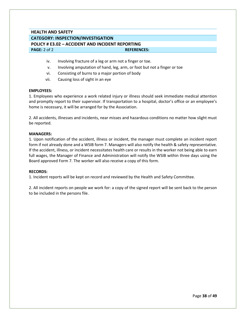# **HEALTH AND SAFETY CATEGORY: INSPECTION/INVESTIGATION POLICY # E3.02 – ACCIDENT AND INCIDENT REPORTING PAGE:** 2 of 2 **REFERENCES: REFERENCES:**

- iv. Involving fracture of a leg or arm not a finger or toe.
- v. Involving amputation of hand, leg, arm, or foot but not a finger or toe
- vi. Consisting of burns to a major portion of body
- vii. Causing loss of sight in an eye

#### **EMPLOYEES:**

1. Employees who experience a work related injury or illness should seek immediate medical attention and promptly report to their supervisor. If transportation to a hospital, doctor's office or an employee's home is necessary, it will be arranged for by the Association.

2. All accidents, illnesses and incidents, near misses and hazardous conditions no matter how slight must be reported.

#### **MANAGERS:**

1. Upon notification of the accident, illness or incident, the manager must complete an incident report form if not already done and a WSIB form 7. Managers will also notify the health & safety representative. If the accident, illness, or incident necessitates health care or results in the worker not being able to earn full wages, the Manager of Finance and Administration will notify the WSIB within three days using the Board approved Form 7. The worker will also receive a copy of this form.

#### **RECORDS:**

1. Incident reports will be kept on record and reviewed by the Health and Safety Committee.

2. All incident reports on people we work for: a copy of the signed report will be sent back to the person to be included in the persons file.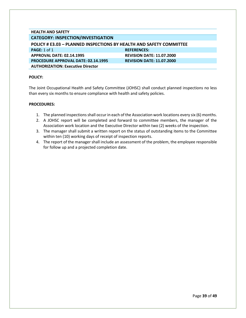<span id="page-39-0"></span>

| <b>HEALTH AND SAFETY</b>                                                   |                                  |  |
|----------------------------------------------------------------------------|----------------------------------|--|
| <b>CATEGORY: INSPECTION/INVESTIGATION</b>                                  |                                  |  |
| <b>POLICY # E3.03 - PLANNED INSPECTIONS BY HEALTH AND SAFETY COMMITTEE</b> |                                  |  |
| PAGE: $1$ of $1$                                                           | <b>REFERENCES:</b>               |  |
| <b>APPROVAL DATE: 02.14.1995</b>                                           | <b>REVISION DATE: 11.07.2000</b> |  |
| <b>PROCEDURE APPROVAL DATE: 02.14.1995</b>                                 | <b>REVISION DATE: 11.07.2000</b> |  |
| <b>AUTHORIZATION: Executive Director</b>                                   |                                  |  |
|                                                                            |                                  |  |

The Joint Occupational Health and Safety Committee (JOHSC) shall conduct planned inspections no less than every six months to ensure compliance with health and safety policies.

- 1. The planned inspections shall occur in each of the Association work locations every six (6) months.
- 2. A JOHSC report will be completed and forward to committee members, the manager of the Association work location and the Executive Director within two (2) weeks of the inspection.
- 3. The manager shall submit a written report on the status of outstanding items to the Committee within ten (10) working days of receipt of inspection reports.
- 4. The report of the manager shall include an assessment of the problem, the employee responsible for follow up and a projected completion date.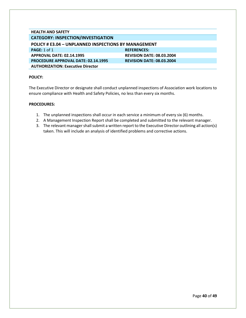<span id="page-40-0"></span>

| <b>CATEGORY: INSPECTION/INVESTIGATION</b>                   |  |  |
|-------------------------------------------------------------|--|--|
| <b>POLICY # E3.04 - UNPLANNED INSPECTIONS BY MANAGEMENT</b> |  |  |
| <b>REFERENCES:</b>                                          |  |  |
| <b>REVISION DATE: 08.03.2004</b>                            |  |  |
| <b>REVISION DATE: 08.03.2004</b>                            |  |  |
|                                                             |  |  |
|                                                             |  |  |

The Executive Director or designate shall conduct unplanned inspections of Association work locations to ensure compliance with Health and Safety Policies, no less than every six months.

- 1. The unplanned inspections shall occur in each service a minimum of every six (6) months.
- 2. A Management Inspection Report shall be completed and submitted to the relevant manager.
- 3. The relevant manager shall submit a written report to the Executive Director outlining all action(s) taken. This will include an analysis of identified problems and corrective actions.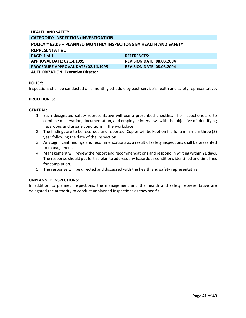# **HEALTH AND SAFETY**

# **CATEGORY: INSPECTION/INVESTIGATION**

<span id="page-41-0"></span>

| <b>POLICY # E3.05 - PLANNED MONTHLY INSPECTIONS BY HEALTH AND SAFETY</b> |                                  |  |
|--------------------------------------------------------------------------|----------------------------------|--|
| <b>REPRESENTATIVE</b>                                                    |                                  |  |
| <b>PAGE:</b> 1 of 1                                                      | <b>REFERENCES:</b>               |  |
| APPROVAL DATE: 02.14.1995                                                | <b>REVISION DATE: 08.03.2004</b> |  |
| <b>PROCEDURE APPROVAL DATE: 02.14.1995</b>                               | <b>REVISION DATE: 08.03.2004</b> |  |
| <b>AUTHORIZATION: Executive Director</b>                                 |                                  |  |

#### **POLICY:**

Inspections shall be conducted on a monthly schedule by each service's health and safety representative.

#### **PROCEDURES:**

#### **GENERAL:**

- 1. Each designated safety representative will use a prescribed checklist. The inspections are to combine observation, documentation, and employee interviews with the objective of identifying hazardous and unsafe conditions in the workplace.
- 2. The findings are to be recorded and reported. Copies will be kept on file for a minimum three (3) year following the date of the inspection.
- 3. Any significant findings and recommendations as a result of safety inspections shall be presented to management.
- 4. Management will review the report and recommendations and respond in writing within 21 days. The response should put forth a plan to address any hazardous conditions identified and timelines for completion.
- 5. The response will be directed and discussed with the health and safety representative.

#### **UNPLANNED INSPECTIONS:**

In addition to planned inspections, the management and the health and safety representative are delegated the authority to conduct unplanned inspections as they see fit.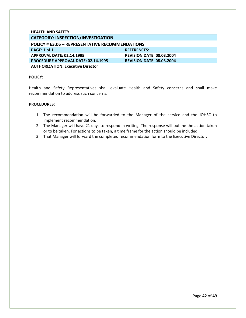<span id="page-42-0"></span>

| <b>HEALTH AND SAFETY</b>                               |                                  |
|--------------------------------------------------------|----------------------------------|
| <b>CATEGORY: INSPECTION/INVESTIGATION</b>              |                                  |
| <b>POLICY # E3.06 - REPRESENTATIVE RECOMMENDATIONS</b> |                                  |
| <b>PAGE: 1 of 1</b>                                    | <b>REFERENCES:</b>               |
| <b>APPROVAL DATE: 02.14.1995</b>                       | <b>REVISION DATE: 08.03.2004</b> |
| <b>PROCEDURE APPROVAL DATE: 02.14.1995</b>             | <b>REVISION DATE: 08.03.2004</b> |
| <b>AUTHORIZATION: Executive Director</b>               |                                  |

Health and Safety Representatives shall evaluate Health and Safety concerns and shall make recommendation to address such concerns.

- 1. The recommendation will be forwarded to the Manager of the service and the JOHSC to implement recommendation.
- 2. The Manager will have 21 days to respond in writing. The response will outline the action taken or to be taken. For actions to be taken, a time frame for the action should be included.
- 3. That Manager will forward the completed recommendation form to the Executive Director.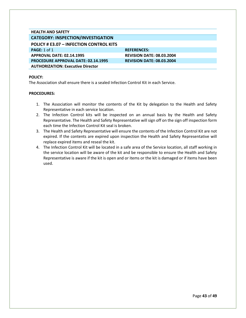<span id="page-43-0"></span>

| <b>HEALTH AND SAFETY</b>                       |                                  |
|------------------------------------------------|----------------------------------|
| <b>CATEGORY: INSPECTION/INVESTIGATION</b>      |                                  |
| <b>POLICY # E3.07 - INFECTION CONTROL KITS</b> |                                  |
| PAGE: 1 of 1                                   | <b>REFERENCES:</b>               |
| <b>APPROVAL DATE: 02.14.1995</b>               | <b>REVISION DATE: 08.03.2004</b> |
| <b>PROCEDURE APPROVAL DATE: 02.14.1995</b>     | <b>REVISION DATE: 08.03.2004</b> |
| <b>AUTHORIZATION: Executive Director</b>       |                                  |

The Association shall ensure there is a sealed Infection Control Kit in each Service.

- 1. The Association will monitor the contents of the Kit by delegation to the Health and Safety Representative in each service location.
- 2. The Infection Control kits will be inspected on an annual basis by the Health and Safety Representative. The Health and Safety Representative will sign off on the sign off inspection form each time the Infection Control Kit seal is broken.
- 3. The Health and Safety Representative will ensure the contents of the Infection Control Kit are not expired. If the contents are expired upon inspection the Health and Safety Representative will replace expired items and reseal the kit.
- 4. The Infection Control Kit will be located in a safe area of the Service location, all staff working in the service location will be aware of the kit and be responsible to ensure the Health and Safety Representative is aware if the kit is open and or items or the kit is damaged or if items have been used.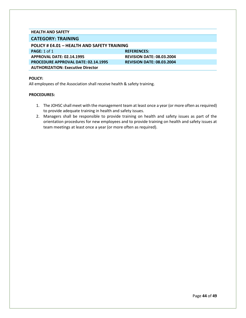#### **HEALTH AND SAFETY**

## <span id="page-44-0"></span>**CATEGORY: TRAINING**

<span id="page-44-1"></span>

| POLICY # E4.01 - HEALTH AND SAFETY TRAINING |                                  |
|---------------------------------------------|----------------------------------|
| <b>PAGE:</b> 1 of 1                         | <b>REFERENCES:</b>               |
| <b>APPROVAL DATE: 02.14.1995</b>            | <b>REVISION DATE: 08.03.2004</b> |
| <b>PROCEDURE APPROVAL DATE: 02.14.1995</b>  | <b>REVISION DATE: 08.03.2004</b> |
| <b>AUTHORIZATION: Executive Director</b>    |                                  |
|                                             |                                  |

#### **POLICY:**

All employees of the Association shall receive health & safety training.

- 1. The JOHSC shall meet with the management team at least once a year (or more often as required) to provide adequate training in health and safety issues.
- 2. Managers shall be responsible to provide training on health and safety issues as part of the orientation procedures for new employees and to provide training on health and safety issues at team meetings at least once a year (or more often as required).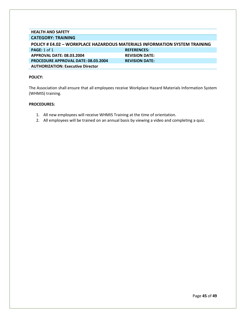#### **HEALTH AND SAFETY CATEGORY: TRAINING**

<span id="page-45-0"></span>

| <b>POLICY # E4.02 - WORKPLACE HAZARDOUS MATERIALS INFORMATION SYSTEM TRAINING</b> |                       |
|-----------------------------------------------------------------------------------|-----------------------|
| PAGE: 1 of 1                                                                      | <b>REFERENCES:</b>    |
| <b>APPROVAL DATE: 08.03.2004</b>                                                  | <b>REVISION DATE:</b> |
| <b>PROCEDURE APPROVAL DATE: 08.03.2004</b>                                        | <b>REVISION DATE:</b> |
| <b>AUTHORIZATION: Executive Director</b>                                          |                       |

#### **POLICY:**

The Association shall ensure that all employees receive Workplace Hazard Materials Information System (WHMIS) training.

- 1. All new employees will receive WHMIS Training at the time of orientation.
- 2. All employees will be trained on an annual basis by viewing a video and completing a quiz.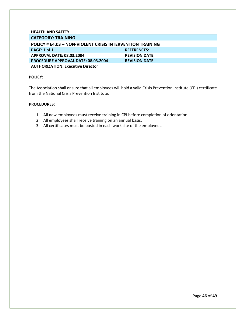<span id="page-46-0"></span>

| <b>POLICY # E4.03 - NON-VIOLENT CRISIS INTERVENTION TRAINING</b> |  |  |
|------------------------------------------------------------------|--|--|
| <b>REFERENCES:</b>                                               |  |  |
| <b>REVISION DATE:</b>                                            |  |  |
| <b>REVISION DATE:</b>                                            |  |  |
|                                                                  |  |  |
|                                                                  |  |  |

The Association shall ensure that all employees will hold a valid Crisis Prevention Institute (CPI) certificate from the National Crisis Prevention Institute.

- 1. All new employees must receive training in CPI before completion of orientation.
- 2. All employees shall receive training on an annual basis.
- 3. All certificates must be posted in each work site of the employees.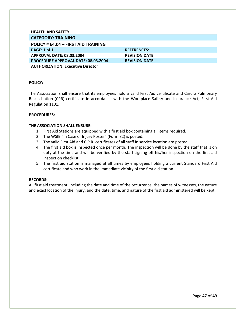<span id="page-47-0"></span>

| <b>HEALTH AND SAFETY</b>                   |                       |
|--------------------------------------------|-----------------------|
| <b>CATEGORY: TRAINING</b>                  |                       |
| POLICY # E4.04 - FIRST AID TRAINING        |                       |
| PAGE: $1$ of $1$                           | <b>REFERENCES:</b>    |
| <b>APPROVAL DATE: 08.03.2004</b>           | <b>REVISION DATE:</b> |
| <b>PROCEDURE APPROVAL DATE: 08.03.2004</b> | <b>REVISION DATE:</b> |
| <b>AUTHORIZATION: Executive Director</b>   |                       |
|                                            |                       |

The Association shall ensure that its employees hold a valid First Aid certificate and Cardio Pulmonary Resuscitation (CPR) certificate in accordance with the Workplace Safety and Insurance Act, First Aid Regulation 1101.

#### **PROCEDURES:**

#### **THE ASSOCIATION SHALL ENSURE:**

- 1. First Aid Stations are equipped with a first aid box containing all items required.
- 2. The WSIB "In Case of Injury Poster" (Form 82) is posted.
- 3. The valid First Aid and C.P.R. certificates of all staff in service location are posted.
- 4. The first aid box is inspected once per month. The inspection will be done by the staff that is on duty at the time and will be verified by the staff signing off his/her inspection on the first aid inspection checklist.
- 5. The first aid station is managed at all times by employees holding a current Standard First Aid certificate and who work in the immediate vicinity of the first aid station.

#### **RECORDS:**

All first aid treatment, including the date and time of the occurrence, the names of witnesses, the nature and exact location of the injury, and the date, time, and nature of the first aid administered will be kept.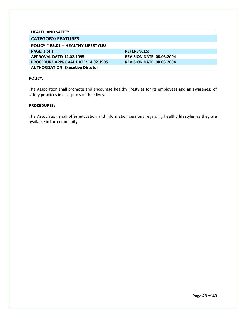<span id="page-48-1"></span><span id="page-48-0"></span>

| <b>HEALTH AND SAFETY</b>                   |                                  |  |
|--------------------------------------------|----------------------------------|--|
| <b>CATEGORY: FEATURES</b>                  |                                  |  |
| POLICY # E5.01 - HEALTHY LIFESTYLES        |                                  |  |
| <b>PAGE: 1 of 1</b>                        | <b>REFERENCES:</b>               |  |
| <b>APPROVAL DATE: 14.02.1995</b>           | <b>REVISION DATE: 08.03.2004</b> |  |
| <b>PROCEDURE APPROVAL DATE: 14.02.1995</b> | <b>REVISION DATE: 08.03.2004</b> |  |
| <b>AUTHORIZATION: Executive Director</b>   |                                  |  |
|                                            |                                  |  |

The Association shall promote and encourage healthy lifestyles for its employees and an awareness of safety practices in all aspects of their lives.

#### **PROCEDURES:**

The Association shall offer education and information sessions regarding healthy lifestyles as they are available in the community.